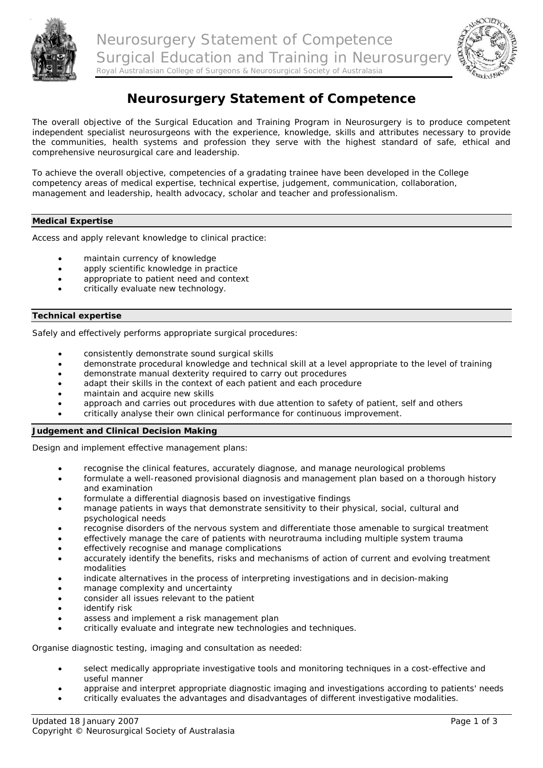



# **Neurosurgery Statement of Competence**

The overall objective of the Surgical Education and Training Program in Neurosurgery is to produce competent independent specialist neurosurgeons with the experience, knowledge, skills and attributes necessary to provide the communities, health systems and profession they serve with the highest standard of safe, ethical and comprehensive neurosurgical care and leadership.

To achieve the overall objective, competencies of a gradating trainee have been developed in the College competency areas of medical expertise, technical expertise, judgement, communication, collaboration, management and leadership, health advocacy, scholar and teacher and professionalism.

## **Medical Expertise**

Access and apply relevant knowledge to clinical practice:

- maintain currency of knowledge
- apply scientific knowledge in practice
- appropriate to patient need and context
- critically evaluate new technology.

### **Technical expertise**

Safely and effectively performs appropriate surgical procedures:

- consistently demonstrate sound surgical skills
- demonstrate procedural knowledge and technical skill at a level appropriate to the level of training
- demonstrate manual dexterity required to carry out procedures
- adapt their skills in the context of each patient and each procedure
- maintain and acquire new skills
- approach and carries out procedures with due attention to safety of patient, self and others
- critically analyse their own clinical performance for continuous improvement.

## **Judgement and Clinical Decision Making**

Design and implement effective management plans:

- recognise the clinical features, accurately diagnose, and manage neurological problems
- formulate a well-reasoned provisional diagnosis and management plan based on a thorough history and examination
- formulate a differential diagnosis based on investigative findings
- manage patients in ways that demonstrate sensitivity to their physical, social, cultural and psychological needs
- recognise disorders of the nervous system and differentiate those amenable to surgical treatment
- effectively manage the care of patients with neurotrauma including multiple system trauma
- effectively recognise and manage complications
- accurately identify the benefits, risks and mechanisms of action of current and evolving treatment modalities
- indicate alternatives in the process of interpreting investigations and in decision-making
- manage complexity and uncertainty
- consider all issues relevant to the patient
- identify risk
- assess and implement a risk management plan
- critically evaluate and integrate new technologies and techniques.

Organise diagnostic testing, imaging and consultation as needed:

- select medically appropriate investigative tools and monitoring techniques in a cost-effective and useful manner
- appraise and interpret appropriate diagnostic imaging and investigations according to patients' needs
- critically evaluates the advantages and disadvantages of different investigative modalities.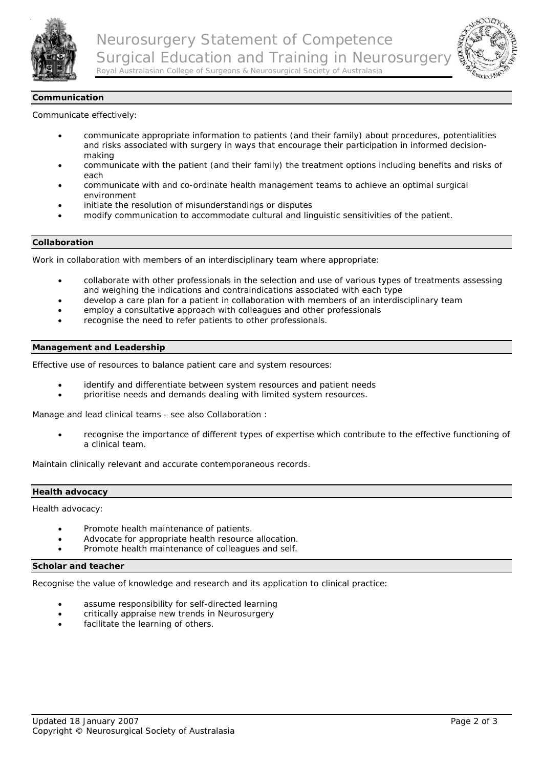



## **Communication**

Communicate effectively:

- communicate appropriate information to patients (and their family) about procedures, potentialities and risks associated with surgery in ways that encourage their participation in informed decisionmaking
- communicate with the patient (and their family) the treatment options including benefits and risks of each
- communicate with and co-ordinate health management teams to achieve an optimal surgical environment
- initiate the resolution of misunderstandings or disputes
- modify communication to accommodate cultural and linguistic sensitivities of the patient.

#### **Collaboration**

Work in collaboration with members of an interdisciplinary team where appropriate:

- collaborate with other professionals in the selection and use of various types of treatments assessing and weighing the indications and contraindications associated with each type
- develop a care plan for a patient in collaboration with members of an interdisciplinary team
- employ a consultative approach with colleagues and other professionals
- recognise the need to refer patients to other professionals.

#### **Management and Leadership**

Effective use of resources to balance patient care and system resources:

- identify and differentiate between system resources and patient needs
- prioritise needs and demands dealing with limited system resources.

Manage and lead clinical teams - see also [Collaboration :](http://www.neurosurgerytraining.org/curriculum.asp#Collaboration#Collaboration)

• recognise the importance of different types of expertise which contribute to the effective functioning of a clinical team.

Maintain clinically relevant and accurate contemporaneous records.

#### **Health advocacy**

Health advocacy:

- Promote health maintenance of patients.
- Advocate for appropriate health resource allocation.
- Promote health maintenance of colleagues and self.

#### **Scholar and teacher**

Recognise the value of knowledge and research and its application to clinical practice:

- assume responsibility for self-directed learning
- critically appraise new trends in Neurosurgery
- facilitate the learning of others.